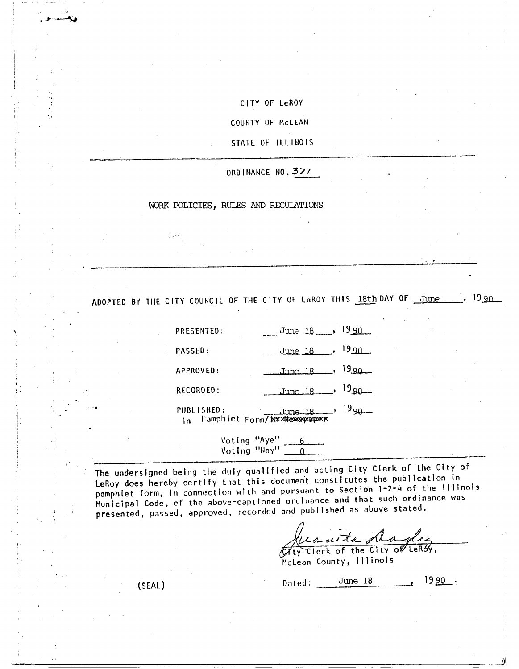# CITY OF LeROY

COUNTY OF McLEAN

STATE OF ILLINOIS

ORD INANCE NO. 32/

## WORK POLICIES, RULES AND REGULATIONS

ADOPTED BY THE CITY COUNCIL OF THE CITY OF LeROY THIS 18th DAY OF June ..., 19 90

PRESENTED: June 18 90 PASSED: June 18 , 19 90  $APPROVED:$  June 18 ,  $19.90$ RECORDED:  $June 18 1990...$ PUBLISHED: June 18, 19<sub>90</sub> PUBLISHED:<br>In l'amphlet Form/ Maximewspaper

Voting "Aye" Voting "Nay"  $\boxed{0}$ 

The undersigned being the duly qualified and acting City Clerk of the City of LeRoy does hereby certify that this document constitutes the publication in pamphlet form, In connection with and pursuant to Section 1-2-4 of the Illinois Municipal Code, of the above-captioned ordinance and that such ordinance was presented, passed, approved, recorded and published as above stated.

 $G_{\rm eff}$ Mauta Magley

McLean County, Illinois

(SEAL) Dated:  $\frac{\text{June }18}{\text{June }18}$  19  $\frac{90}{15}$ .

J -... AW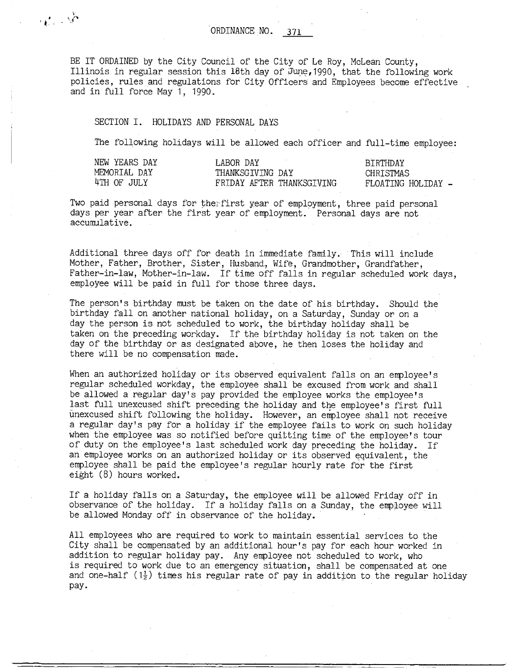BE IT ORDAINED by the City Council of the City of Le Roy, McLean County, Illinois in regular session this 18th day of June,1990, that the following work policies, rules and regulations for City Officers and Employees become effective and in full force May 1, 1990.

## SECTION I. HOLIDAYS AND PERSONAL DAYS

 $\alpha$  ,  $\beta$ 

The following holidays will be allowed each officer and full-time employee:

| NEW YEARS DAY | LABOR DAY                 | <b>BTRTHDAY</b>    |
|---------------|---------------------------|--------------------|
| MEMORIAL DAY  | THANKSGIVING DAY          | CHRTSTMAS          |
| 4TH OF JULY   | FRIDAY AFTER THANKSGIVING | FLOATING HOLIDAY - |

Two paid personal days for therfirst year of employment, three paid personal days per year after the first year of employment. Personal days are not accumulative.

Additional three days off for death in immediate family. This will include Mother, Father, Brother, Sister, Husband., Wife, Grandmother, Grandfather, Father-in-law, Mother-in-law. If time off falls in regular scheduled work days, employee will be paid in full for those three days.

The person's birthday must be taken on the date of his birthday. Should the birthday fall on another national holiday, on a Saturday, Sunday or on a day the person is not scheduled to work, the birthday holiday shall be taken on the preceding workday. If the birthday holiday is not taken on the day of the birthday or as designated above, he then loses the holiday and there will be no compensation made.

When an authorized holiday or its observed equivalent falls on an employee's regular scheduled workday, the employee shall be excused from work and shall be allowed a regular day's pay provided the employee works the employee's last full unexcused shift preceding the holiday and the employee's first full unexcused shift following the holiday. However, an employee shall not receive a regular day's pay for a holiday if the employee fails to work on such holiday when the employee was so notified before quitting time of the employee's tour of duty on the employee's last scheduled work day preceding the holiday. If an employee works on an authorized holiday or its observed equivalent, the employee shall be paid the employee's regular hourly rate for the first eight (8) hours worked.

If a holiday falls on a Saturday, the employee will be allowed Friday off in observance of the holiday. If a holiday falls on a Sunday, the employee will be allowed Monday off in observance of the holiday.

All employees who are required to work to maintain essential services to the City shall be compensated by an additional hour's pay for each hour worked in addition to regular holiday pay. Any employee not scheduled to work, who is required to work due to an emergency situation, shall be compensated at one and one-half  $(1\frac{1}{2})$  times his regular rate of pay in addition to the regular holiday pay-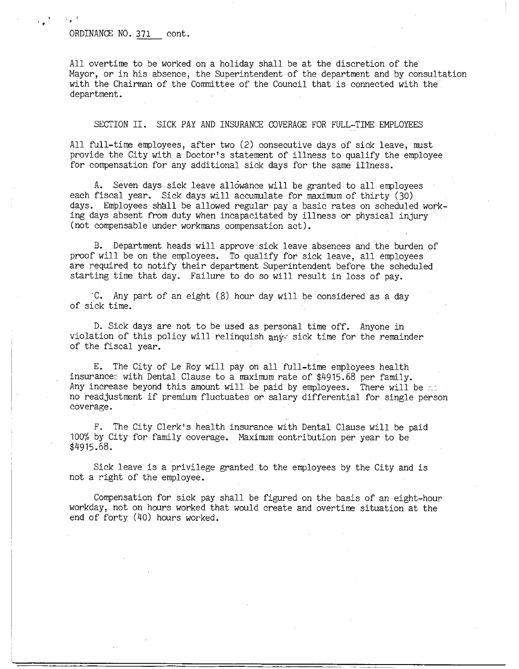### ORDINANCE NO. 371 cont.

4 d

 $\sim$ 

All overtime to be worked on a holiday shall be at the discretion of the Mayor, or in his absence, the Superintendent of the department and by consultation with the Chairman of the Committee of the Council that is connected with the department.

### SECTION II. SICK PAY AND INSURANCE COVERAGE FOR FULL-TIME EMPLOYEES

All full-time employees, after two (2) consecutive days of sick leave, must provide the City with a Doctor's statement of illness to qualify the employee for compensation for any additional sick days for the same illness.

A. Seven days sick leave allowance will be granted to all employees each fiscal year. Sick days will accumulate for maximum of thirty (30) days. Employees shall be allowed regular pay a basic rates on scheduled working days absent from duty when incapacitated by illness or physical injury (not compensable under workmans compensation act).

B. Department heads will approve sick leave absences and the burden of proof will be on the employees. To qualify for sick leave, all employees are required to notify their department Superintendent before the scheduled starting time that day. Failure to do so will result in loss of pay.

'C. Any part of an eight (8) hour day will be considered as a day of sick time.

D. Sick days are not to be used as personal time off. Anyone in violation of this policy will relinquish any sick time for the remainder of the fiscal year.

E. The City of Le Roy will pay on all full-time employees health insurancee with Dental Clause to a maximum rate of \$4915.68 per family. Any increase beyond this amount will be paid by employees. There will be  $\infty$ no readjustment if premium fluctuates or salary differential for single person coverage.

F. The City Clerk's health insurance with Dental Clause will be paid 100% by City for family coverage. Maximum contribution per year to be \$4915.68.

Sick leave is a privilege granted-to the employees by the City and is not a right of the employee.

Compensation for sick pay shall be figured on the basis of an eight-hour workday, not on hours worked that would create and overtime situation at the end of forty  $(40)$  hours worked.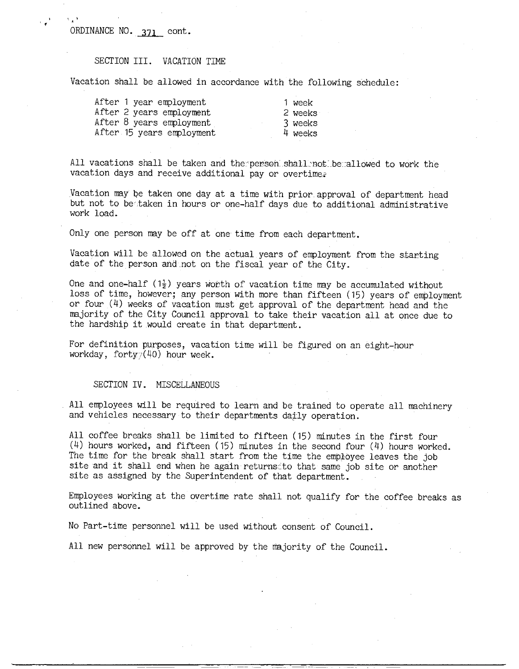ORDINANCE NO. 371 cont.

a e ' a

## SECTION III. VACATION TIME

Vacation shall be allowed in accordance with the following schedule:

| After 1 year employment   |  |
|---------------------------|--|
| After 2 years employment  |  |
| After 8 years employment  |  |
| After 15 years employment |  |

1 week 2 weeks 3 weeks 4 weeks

All vacations shall be taken and the person shall not be allowed to work the vacation days and receive additional pay or overtime.

Vacation may be taken one day at a time with prior.approval of department head but not to betaken in hours or one-half days due to additional administrative work load.

Only one person may be off at one time from each department.

Vacation will be allowed on the actual years of employment from the starting date of the person and-not on the fiscal year of the City.

One and one-half ( $1\frac{1}{2}$ ) years worth of vacation time may be accumulated without loss of time, however; any person with more than fifteen (15) years of employment or four (4) weeks of vacation must get approval of the department head and the majority of the City Council approval to take their vacation all at once due to the hardship it would create in that department.

For definition purposes, vacation time will be figured on an eight-hour workday, forty $7(40)$  hour week.

#### SECTION IV. MISCELLANEOUS

All employees will be required to learn and be trained to operate all machinery and vehicles necessary to their departments daily operation.

All coffee breaks shall be limited to fifteen (15) minutes in the first four (4) hours worked, and fifteen (15) minutes in the second four (4) hours worked. The time for the break shall start from the time the employee leaves the job site and it shall end when he again returns to that same job site or another site as assigned by the Superintendent of that department. .

Employees working at the overtime rate shall not qualify for the coffee.breaks as outlined above.

No Part-time personnel will be used without consent of Council.

All new personnel will be approved by the majority of the Council.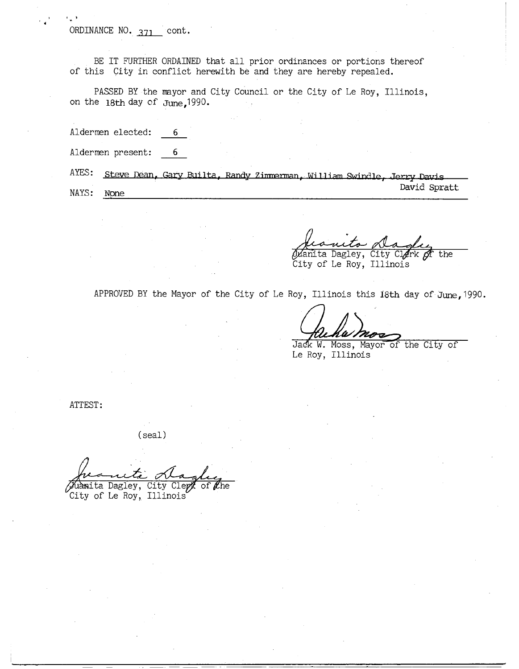ORDINANCE NO. 371 cont.

BE IT FURTHER ORDAINED that all prior ordinances or portions thereof of this City in conflict herewith be and they are hereby repealed.

PASSED BY the mayor and City Council or the City of Le Roy, Illinois, on the 18th day of June,1990.

Aldermen elected: 6

| Aldermen present: |                                                                              |  |  |                |  |
|-------------------|------------------------------------------------------------------------------|--|--|----------------|--|
|                   | AYES: Steve Dean, Gary Builta, Randy Zimmerman, William Swindle, Jerry Davis |  |  |                |  |
|                   |                                                                              |  |  | $David$ Spratt |  |

NAYS: None

у.

rl

Dagley, City Clerk of the

David Spratt

City of Le Roy, Illinois

APPROVED BY the Mayor of the City of Le Roy, Illinois this 18th day of June, 1990.

Jack W. Moss, Mayor of the City of Le Roy, Illinois

ATTEST:

(seal)

anite Magley City of Le Roy, Illinois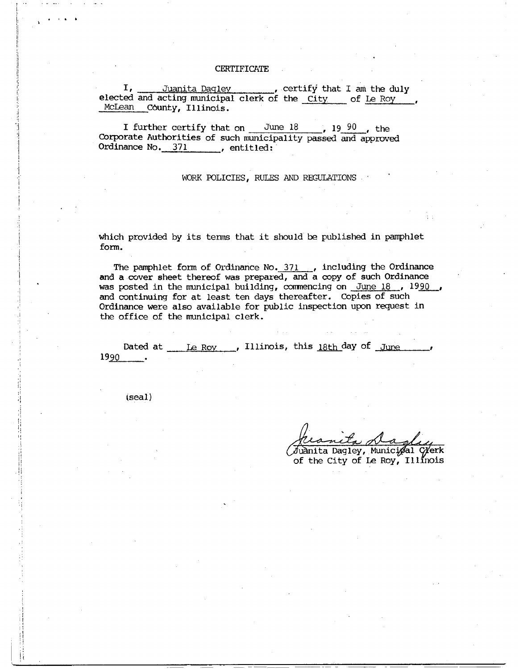#### **CERTIFICATE**

I, Juanita Dagley , certify that I am the duly elected and acting municipal clerk of the City of Le Roy , McLean County, Illinois.

I further certify that on  $\frac{\text{June }18}{\text{June }19}$ , 19 90, the Corporate Authorities of such municipality passed and approved Ordinance No. 371 , entitled:

### WORK POLICIES, RULES AND REGULATIONS

which provided by its terms that it should be published in pamphlet form.

The pamphlet form of Ordinance No. 371 , including the Ordinance and a cover sheet thereof was prepared, and a copy of such Ordinance was posted in the municipal building, commencing on June 18, 1990 and continuing for at least ten days thereafter. Copies of such Ordinance were also available for public inspection upon request in the office of the municipal clerk.

Dated at Le Roy , Illinois, this 18th day of June 1990

(seal)

t.

<u>v</u> Ala

(Juànita Dagley, Municipal Cyerk of the City of Le Roy, Illinois